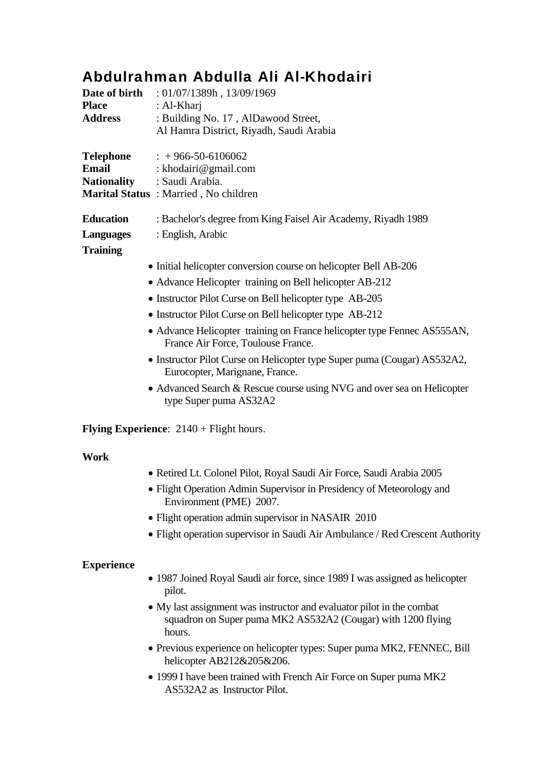## Abdulrahman Abdulla Ali Al-Khodairi

| <b>Place</b>       | <b>Date of birth</b> : 01/07/1389h, 13/09/1969<br>: Al-Kharj                                                  |
|--------------------|---------------------------------------------------------------------------------------------------------------|
| <b>Address</b>     | : Building No. 17, AlDawood Street,<br>Al Hamra District, Riyadh, Saudi Arabia                                |
| Telephone          | $: +966-50-6106062$                                                                                           |
| <b>Email</b>       | : khodairi@gmail.com                                                                                          |
| <b>Nationality</b> | : Saudi Arabia.                                                                                               |
|                    | Marital Status: Married, No children                                                                          |
| <b>Education</b>   | : Bachelor's degree from King Faisel Air Academy, Riyadh 1989                                                 |
| <b>Languages</b>   | : English, Arabic                                                                                             |
| <b>Training</b>    |                                                                                                               |
|                    | • Initial helicopter conversion course on helicopter Bell AB-206                                              |
|                    | • Advance Helicopter training on Bell helicopter AB-212                                                       |
|                    | • Instructor Pilot Curse on Bell helicopter type AB-205                                                       |
|                    | • Instructor Pilot Curse on Bell helicopter type AB-212                                                       |
|                    | • Advance Helicopter training on France helicopter type Fennec AS555AN,<br>France Air Force, Toulouse France. |
|                    | • Instructor Pilot Curse on Helicopter type Super puma (Cougar) AS532A2,<br>Eurocopter, Marignane, France.    |
|                    | • Advanced Search & Rescue course using NVG and over sea on Helicopter<br>type Super puma AS32A2              |
|                    | <b>Flying Experience:</b> $2140 +$ Flight hours.                                                              |
| <b>Work</b>        |                                                                                                               |
|                    | • Retired Lt. Colonel Pilot, Royal Saudi Air Force, Saudi Arabia 2005                                         |
|                    | · Flight Operation Admin Supervisor in Presidency of Meteorology and<br>Environment (PME) 2007.               |
|                    | • Flight operation admin supervisor in NASAIR 2010                                                            |
|                    | • Flight operation supervisor in Saudi Air Ambulance / Red Crescent Authority                                 |
| <b>Experience</b>  |                                                                                                               |
|                    | • 1987 Joined Royal Saudi air force, since 1989 I was assigned as helicopter<br>pilot.                        |
|                    | $\bullet$ My last assignment was instructor and evaluator pilot in the combat                                 |

- My last assignment was instructor and evaluator pilot in the combat squadron on Super puma MK2 AS532A2 (Cougar) with 1200 flying hours.
- Previous experience on helicopter types: Super puma MK2, FENNEC, Bill helicopter AB212&205&206.
- 1999 I have been trained with French Air Force on Super puma MK2 AS532A2 as Instructor Pilot.